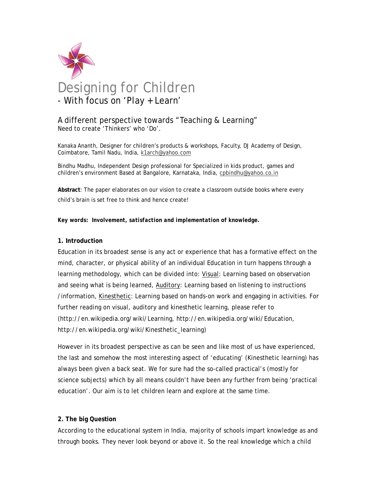

# A different perspective towards "Teaching & Learning" Need to create 'Thinkers' who 'Do'.

Kanaka Ananth, Designer for children's products & workshops, Faculty, DJ Academy of Design, Coimbatore, Tamil Nadu, India, k1arch@yahoo.com

Bindhu Madhu, Independent Design professional for Specialized in kids product, games and children's environment Based at Bangalore, Karnataka, India, cpbindhu@yahoo.co.in

**Abstract**: The paper elaborates on our vision to create a classroom outside books where every child's brain is set free to think and hence create!

*Key words: Involvement, satisfaction and implementation of knowledge.* 

## **1. Introduction**

Education in its broadest sense is any act or experience that has a formative effect on the mind, character, or physical ability of an individual Education in turn happens through a learning methodology, which can be divided into: Visual: Learning based on observation and seeing what is being learned, Auditory: Learning based on listening to instructions /information, Kinesthetic: Learning based on hands-on work and engaging in activities. For further reading on visual, auditory and kinesthetic learning, please refer to (http://en.wikipedia.org/wiki/Learning, http://en.wikipedia.org/wiki/Education, http://en.wikipedia.org/wiki/Kinesthetic\_learning)

However in its broadest perspective as can be seen and like most of us have experienced, the last and somehow the most interesting aspect of 'educating' (Kinesthetic learning) has always been given a back seat. We for sure had the so-called practical's (mostly for science subjects) which by all means couldn't have been any further from being 'practical education'. Our aim is to let children learn and explore at the same time.

## **2. The big Question**

According to the educational system in India, majority of schools impart knowledge as and through books. They never look beyond or above it. So the real knowledge which a child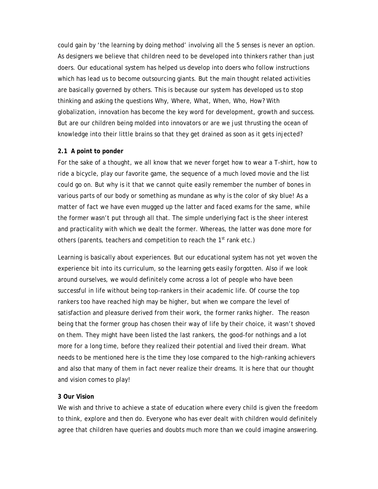could gain by 'the learning by doing method' involving all the 5 senses is never an option. As designers we believe that children need to be developed into thinkers rather than just doers. Our educational system has helped us develop into doers who follow instructions which has lead us to become outsourcing giants. But the main thought related activities are basically governed by others. This is because our system has developed us to stop thinking and asking the questions Why, Where, What, When, Who, How? With globalization, innovation has become the key word for development, growth and success. But are our children being molded into innovators or are we just thrusting the ocean of knowledge into their little brains so that they get drained as soon as it gets injected?

### **2.1 A point to ponder**

For the sake of a thought, we all know that we never forget how to wear a T-shirt, how to ride a bicycle, play our favorite game, the sequence of a much loved movie and the list could go on. But why is it that we cannot quite easily remember the number of bones in various parts of our body or something as mundane as why is the color of sky blue! As a matter of fact we have even mugged up the latter and faced exams for the same, while the former wasn't put through all that. The simple underlying fact is the sheer interest and practicality with which we dealt the former. Whereas, the latter was done more for others (parents, teachers and competition to reach the 1<sup>st</sup> rank etc.)

Learning is basically about experiences. But our educational system has not yet woven the experience bit into its curriculum, so the learning gets easily forgotten. Also if we look around ourselves, we would definitely come across a lot of people who have been successful in life without being top-rankers in their academic life. Of course the top rankers too have reached high may be higher, but when we compare the level of satisfaction and pleasure derived from their work, the former ranks higher. The reason being that the former group has chosen their way of life by their choice, it wasn't shoved on them. They might have been listed the last rankers, the good-for nothings and a lot more for a long time, before they realized their potential and lived their dream. What needs to be mentioned here is the time they lose compared to the high-ranking achievers and also that many of them in fact never realize their dreams. It is here that our thought and vision comes to play!

#### **3 Our Vision**

We wish and thrive to achieve a state of education where every child is given the freedom to think, explore and then do. Everyone who has ever dealt with children would definitely agree that children have queries and doubts much more than we could imagine answering.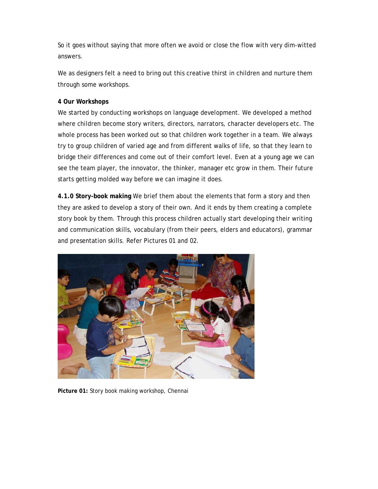So it goes without saying that more often we avoid or close the flow with very dim-witted answers.

We as designers felt a need to bring out this creative thirst in children and nurture them through some workshops.

# **4 Our Workshops**

We started by conducting workshops on language development. We developed a method where children become story writers, directors, narrators, character developers etc. The whole process has been worked out so that children work together in a team. We always try to group children of varied age and from different walks of life, so that they learn to bridge their differences and come out of their comfort level. Even at a young age we can see the team player, the innovator, the thinker, manager etc grow in them. Their future starts getting molded way before we can imagine it does.

**4.1.0 Story-book making** We brief them about the elements that form a story and then they are asked to develop a story of their own. And it ends by them creating a complete story book by them. Through this process children actually start developing their writing and communication skills, vocabulary (from their peers, elders and educators), grammar and presentation skills. Refer Pictures 01 and 02.



**Picture 01:** Story book making workshop, Chennai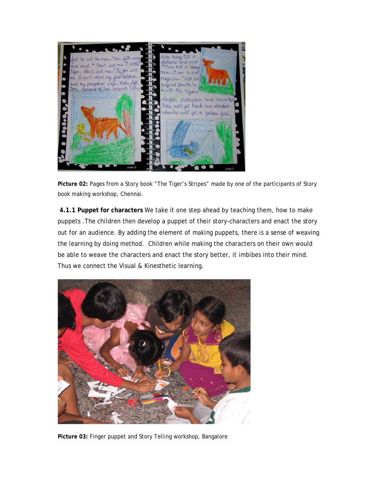

**Picture 02:** Pages from a Story book "The Tiger's Stripes" made by one of the participants of Story book making workshop, Chennai.

**4.1.1 Puppet for characters** We take it one step ahead by teaching them, how to make puppets .The children then develop a puppet of their story-characters and enact the story out for an audience. By adding the element of making puppets, there is a sense of weaving the learning by doing method. Children while making the characters on their own would be able to weave the characters and enact the story better, it imbibes into their mind. Thus we connect the Visual & Kinesthetic learning.



**Picture 03:** Finger puppet and Story Telling workshop, Bangalore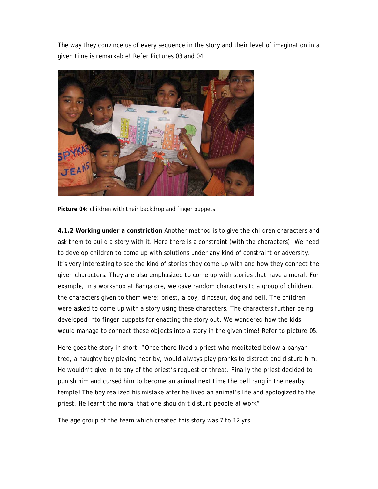The way they convince us of every sequence in the story and their level of imagination in a given time is remarkable! Refer Pictures 03 and 04



**Picture 04:** children with their backdrop and finger puppets

**4.1.2 Working under a constriction** Another method is to give the children characters and ask them to build a story with it. Here there is a constraint (with the characters). We need to develop children to come up with solutions under any kind of constraint or adversity. It's very interesting to see the kind of stories they come up with and how they connect the given characters. They are also emphasized to come up with stories that have a moral. For example, in a workshop at Bangalore, we gave random characters to a group of children, the characters given to them were: priest, a boy, dinosaur, dog and bell. The children were asked to come up with a story using these characters. The characters further being developed into finger puppets for enacting the story out. We wondered how the kids would manage to connect these objects into a story in the given time! Refer to picture 05.

Here goes the story in short: "Once there lived a priest who meditated below a banyan tree, a naughty boy playing near by, would always play pranks to distract and disturb him. He wouldn't give in to any of the priest's request or threat. Finally the priest decided to punish him and cursed him to become an animal next time the bell rang in the nearby temple! The boy realized his mistake after he lived an animal's life and apologized to the priest. He learnt the moral that one shouldn't disturb people at work".

The age group of the team which created this story was 7 to 12 yrs.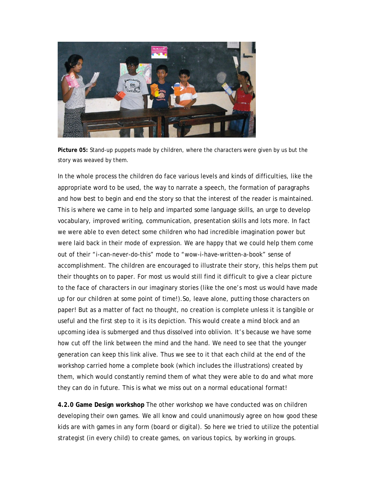

**Picture 05:** Stand-up puppets made by children, where the characters were given by us but the story was weaved by them.

In the whole process the children do face various levels and kinds of difficulties, like the appropriate word to be used, the way to narrate a speech, the formation of paragraphs and how best to begin and end the story so that the interest of the reader is maintained. This is where we came in to help and imparted some language skills, an urge to develop vocabulary, improved writing, communication, presentation skills and lots more. In fact we were able to even detect some children who had incredible imagination power but were laid back in their mode of expression. We are happy that we could help them come out of their "i-can-never-do-this" mode to "wow-i-have-written-a-book" sense of accomplishment. The children are encouraged to illustrate their story, this helps them put their thoughts on to paper. For most us would still find it difficult to give a clear picture to the face of characters in our imaginary stories (like the one's most us would have made up for our children at some point of time!).So, leave alone, putting those characters on paper! But as a matter of fact no thought, no creation is complete unless it is tangible or useful and the first step to it is its depiction. This would create a mind block and an upcoming idea is submerged and thus dissolved into oblivion. It's because we have some how cut off the link between the mind and the hand. We need to see that the younger generation can keep this link alive. Thus we see to it that each child at the end of the workshop carried home a complete book (which includes the illustrations) created by them, which would constantly remind them of what they were able to do and what more they can do in future. This is what we miss out on a normal educational format!

**4.2.0 Game Design workshop** The other workshop we have conducted was on children developing their own games. We all know and could unanimously agree on how good these kids are with games in any form (board or digital). So here we tried to utilize the potential strategist (in every child) to create games, on various topics, by working in groups.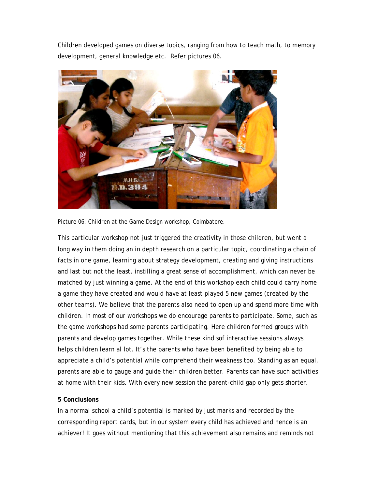Children developed games on diverse topics, ranging from how to teach math, to memory development, general knowledge etc. Refer pictures 06.



Picture 06: Children at the Game Design workshop, Coimbatore.

This particular workshop not just triggered the creativity in those children, but went a long way in them doing an in depth research on a particular topic, coordinating a chain of facts in one game, learning about strategy development, creating and giving instructions and last but not the least, instilling a great sense of accomplishment, which can never be matched by just winning a game. At the end of this workshop each child could carry home a game they have created and would have at least played 5 new games (created by the other teams). We believe that the parents also need to open up and spend more time with children. In most of our workshops we do encourage parents to participate. Some, such as the game workshops had some parents participating. Here children formed groups with parents and develop games together. While these kind sof interactive sessions always helps children learn al lot. It's the parents who have been benefited by being able to appreciate a child's potential while comprehend their weakness too. Standing as an equal, parents are able to gauge and guide their children better. Parents can have such activities at home with their kids. With every new session the parent-child gap only gets shorter.

## **5 Conclusions**

In a normal school a child's potential is marked by just marks and recorded by the corresponding report cards, but in our system every child has achieved and hence is an achiever! It goes without mentioning that this achievement also remains and reminds not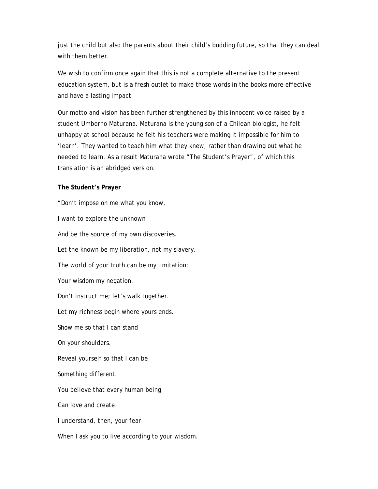just the child but also the parents about their child's budding future, so that they can deal with them better.

We wish to confirm once again that this is not a complete alternative to the present education system, but is a fresh outlet to make those words in the books more effective and have a lasting impact.

Our motto and vision has been further strengthened by this innocent voice raised by a student Umberno Maturana. Maturana is the young son of a Chilean biologist, he felt unhappy at school because he felt his teachers were making it impossible for him to 'learn'. They wanted to teach him what they knew, rather than drawing out what he needed to learn. As a result Maturana wrote "The Student's Prayer", of which this translation is an abridged version.

### **The Student's Prayer**

"Don't impose on me what you know, I want to explore the unknown And be the source of my own discoveries. Let the known be my liberation, not my slavery. The world of your truth can be my limitation; Your wisdom my negation. Don't instruct me; let's walk together. Let my richness begin where yours ends. Show me so that I can stand On your shoulders. Reveal yourself so that I can be Something different. You believe that every human being Can love and create. I understand, then, your fear When I ask you to live according to your wisdom.